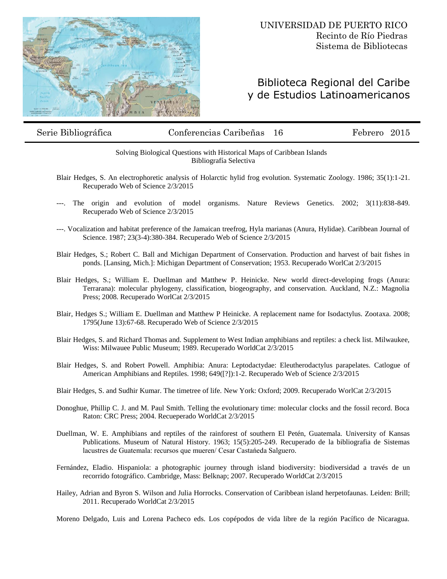

## Biblioteca Regional del Caribe y de Estudios Latinoamericanos

## Serie Bibliográfica Conferencias Caribeñas 16 Febrero 2015

## Solving Biological Questions with Historical Maps of Caribbean Islands Bibliografía Selectiva

- Blair Hedges, S. An electrophoretic analysis of Holarctic hylid frog evolution. Systematic Zoology. 1986; 35(1):1-21. Recuperado Web of Science 2/3/2015
- ---. The origin and evolution of model organisms. Nature Reviews Genetics. 2002; 3(11):838-849. Recuperado Web of Science 2/3/2015
- ---. Vocalization and habitat preference of the Jamaican treefrog, Hyla marianas (Anura, Hylidae). Caribbean Journal of Science. 1987; 23(3-4):380-384. Recuperado Web of Science 2/3/2015
- Blair Hedges, S.; Robert C. Ball and Michigan Department of Conservation. Production and harvest of bait fishes in ponds. [Lansing, Mich.]: Michigan Department of Conservation; 1953. Recuperado WorlCat 2/3/2015
- Blair Hedges, S.; William E. Duellman and Matthew P. Heinicke. New world direct-developing frogs (Anura: Terrarana): molecular phylogeny, classification, biogeography, and conservation. Auckland, N.Z.: Magnolia Press; 2008. Recuperado WorlCat 2/3/2015
- Blair, Hedges S.; William E. Duellman and Matthew P Heinicke. A replacement name for Isodactylus. Zootaxa. 2008; 1795(June 13):67-68. Recuperado Web of Science 2/3/2015
- Blair Hedges, S. and Richard Thomas and. Supplement to West Indian amphibians and reptiles: a check list. Milwaukee, Wiss: Milwauee Public Museum; 1989. Recuperado WorldCat 2/3/2015
- Blair Hedges, S. and Robert Powell. Amphibia: Anura: Leptodactydae: Eleutherodactylus parapelates. Catlogue of American Amphibians and Reptiles. 1998; 649([?]):1-2. Recuperado Web of Science 2/3/2015
- Blair Hedges, S. and Sudhir Kumar. The timetree of life. New York: Oxford; 2009. Recuperado WorlCat 2/3/2015
- Donoghue, Phillip C. J. and M. Paul Smith. Telling the evolutionary time: molecular clocks and the fossil record. Boca Raton: CRC Press; 2004. Recueperado WorldCat 2/3/2015
- Duellman, W. E. Amphibians and reptiles of the rainforest of southern El Petén, Guatemala. University of Kansas Publications. Museum of Natural History. 1963; 15(5):205-249. Recuperado de la bibliografia de Sistemas lacustres de Guatemala: recursos que mueren/ Cesar Castańeda Salguero.
- Fernández, Eladio. Hispaniola: a photographic journey through island biodiversity: biodiversidad a través de un recorrido fotográfico. Cambridge, Mass: Belknap; 2007. Recuperado WorldCat 2/3/2015
- Hailey, Adrian and Byron S. Wilson and Julia Horrocks. Conservation of Caribbean island herpetofaunas. Leiden: Brill; 2011. Recuperado WorldCat 2/3/2015

Moreno Delgado, Luis and Lorena Pacheco eds. Los copépodos de vida libre de la región Pacífico de Nicaragua.